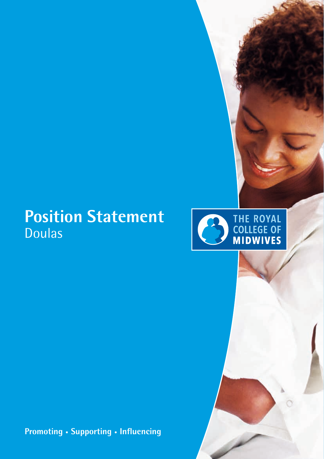## **Position Statement** Doulas



**Promoting • Supporting • Influencing**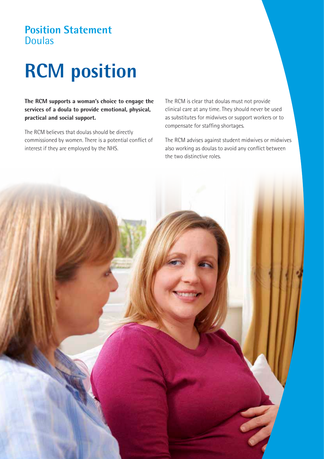#### **Position Statement**  Doulas

# **RCM position**

**The RCM supports a woman's choice to engage the services of a doula to provide emotional, physical, practical and social support.**

The RCM believes that doulas should be directly commissioned by women. There is a potential conflict of interest if they are employed by the NHS.

The RCM is clear that doulas must not provide clinical care at any time. They should never be used as substitutes for midwives or support workers or to compensate for staffing shortages.

The RCM advises against student midwives or midwives also working as doulas to avoid any conflict between the two distinctive roles.

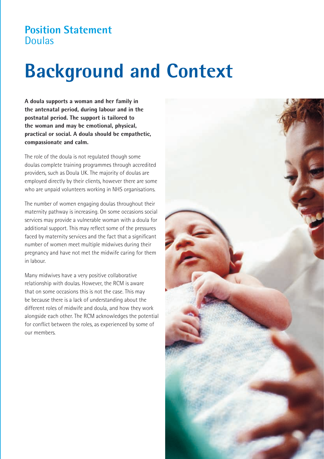#### **Position Statement**  Doulas

## **Background and Context**

**A doula supports a woman and her family in the antenatal period, during labour and in the postnatal period. The support is tailored to the woman and may be emotional, physical, practical or social. A doula should be empathetic, compassionate and calm.**

The role of the doula is not regulated though some doulas complete training programmes through accredited providers, such as Doula UK. The majority of doulas are employed directly by their clients, however there are some who are unpaid volunteers working in NHS organisations.

The number of women engaging doulas throughout their maternity pathway is increasing. On some occasions social services may provide a vulnerable woman with a doula for additional support. This may reflect some of the pressures faced by maternity services and the fact that a significant number of women meet multiple midwives during their pregnancy and have not met the midwife caring for them in labour.

Many midwives have a very positive collaborative relationship with doulas. However, the RCM is aware that on some occasions this is not the case. This may be because there is a lack of understanding about the different roles of midwife and doula, and how they work alongside each other. The RCM acknowledges the potential for conflict between the roles, as experienced by some of our members.